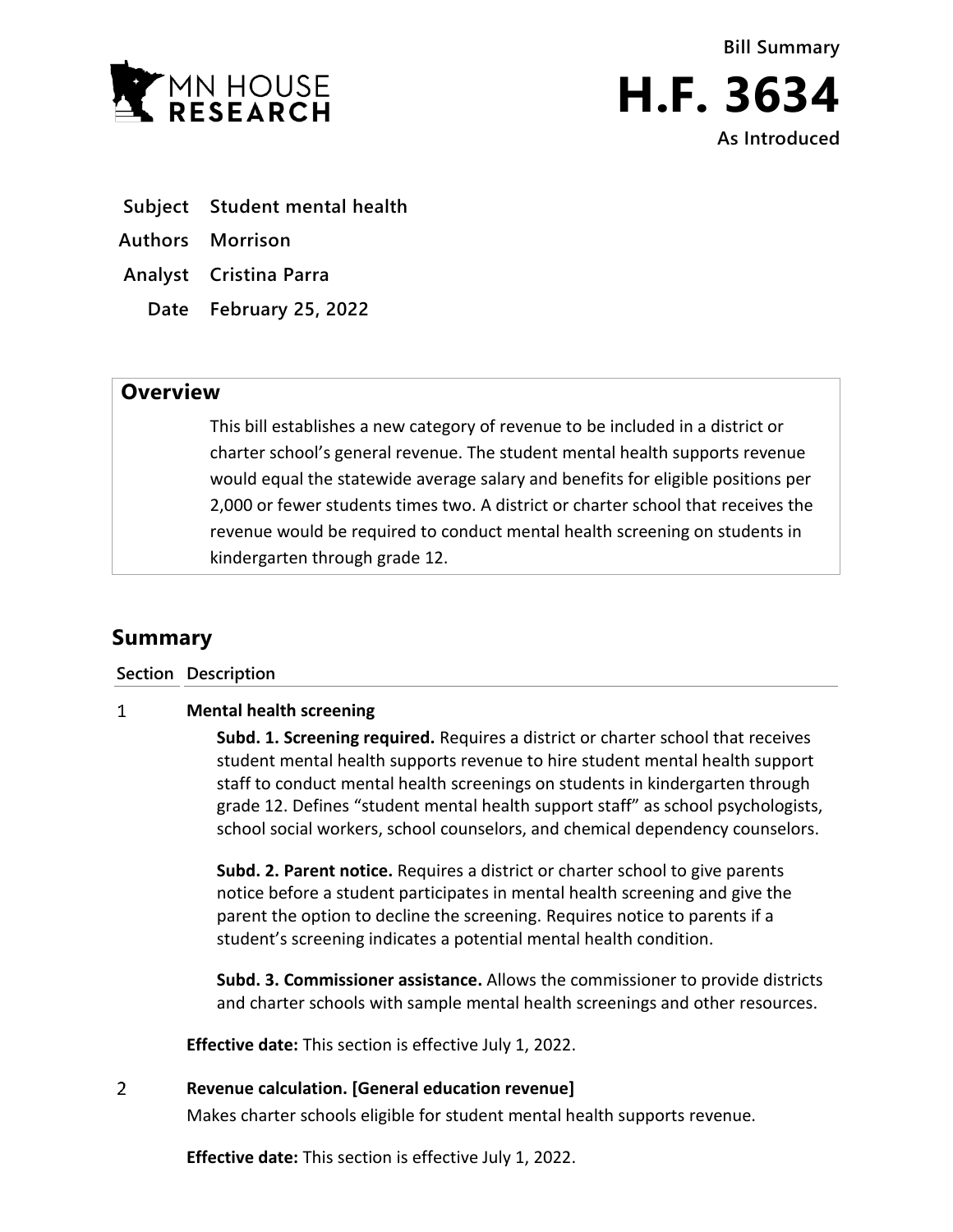

**Bill Summary H.F. 3634 As Introduced**

- **Subject Student mental health**
- **Authors Morrison**
- **Analyst Cristina Parra**
	- **Date February 25, 2022**

# **Overview**

This bill establishes a new category of revenue to be included in a district or charter school's general revenue. The student mental health supports revenue would equal the statewide average salary and benefits for eligible positions per 2,000 or fewer students times two. A district or charter school that receives the revenue would be required to conduct mental health screening on students in kindergarten through grade 12.

# **Summary**

**Section Description**

### $\mathbf{1}$ **Mental health screening**

**Subd. 1. Screening required.** Requires a district or charter school that receives student mental health supports revenue to hire student mental health support staff to conduct mental health screenings on students in kindergarten through grade 12. Defines "student mental health support staff" as school psychologists, school social workers, school counselors, and chemical dependency counselors.

**Subd. 2. Parent notice.** Requires a district or charter school to give parents notice before a student participates in mental health screening and give the parent the option to decline the screening. Requires notice to parents if a student's screening indicates a potential mental health condition.

**Subd. 3. Commissioner assistance.** Allows the commissioner to provide districts and charter schools with sample mental health screenings and other resources.

**Effective date:** This section is effective July 1, 2022.

### $\overline{2}$ **Revenue calculation. [General education revenue]**

Makes charter schools eligible for student mental health supports revenue.

**Effective date:** This section is effective July 1, 2022.